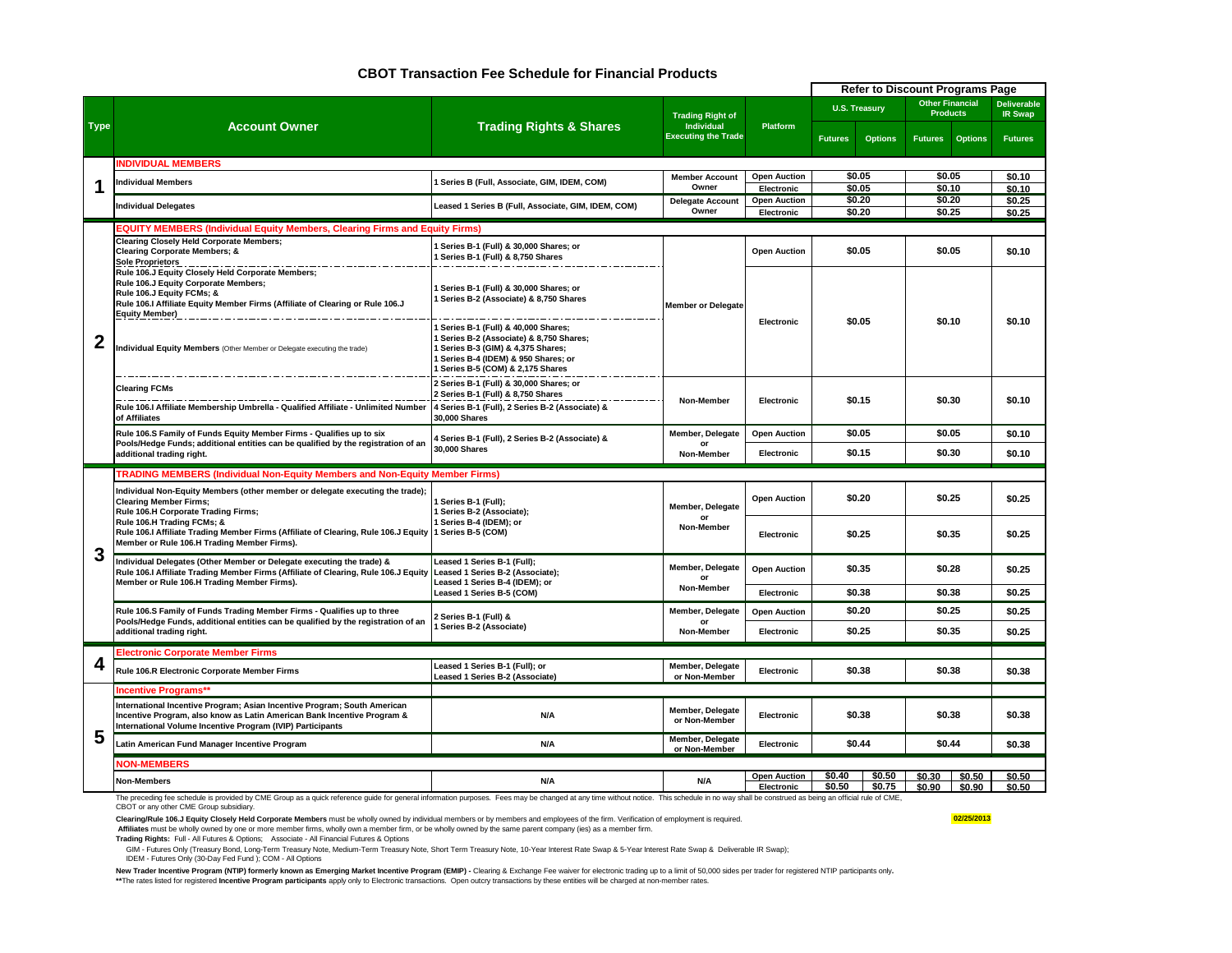#### **CBOT Transaction Fee Schedule for Financial Products**

|             |                                                                                                                                                                                                                                |                                                                                                                                                                                           |                                       |                                   |                             |                      | <b>Refer to Discount Programs Page</b>    |                |                                      |  |
|-------------|--------------------------------------------------------------------------------------------------------------------------------------------------------------------------------------------------------------------------------|-------------------------------------------------------------------------------------------------------------------------------------------------------------------------------------------|---------------------------------------|-----------------------------------|-----------------------------|----------------------|-------------------------------------------|----------------|--------------------------------------|--|
|             | <b>Account Owner</b>                                                                                                                                                                                                           |                                                                                                                                                                                           | <b>Trading Right of</b><br>Individual | Platform                          |                             | <b>U.S. Treasury</b> | <b>Other Financial</b><br><b>Products</b> |                | <b>Deliverable</b><br><b>IR Swap</b> |  |
| <b>Type</b> |                                                                                                                                                                                                                                | <b>Trading Rights &amp; Shares</b>                                                                                                                                                        | <b>Executing the Trade</b>            |                                   | <b>Futures</b>              | <b>Options</b>       | <b>Futures</b>                            | <b>Options</b> | <b>Futures</b>                       |  |
|             | <b>INDIVIDUAL MEMBERS</b>                                                                                                                                                                                                      |                                                                                                                                                                                           |                                       |                                   |                             |                      |                                           |                |                                      |  |
|             | ndividual Members                                                                                                                                                                                                              | Series B (Full, Associate, GIM, IDEM, COM)                                                                                                                                                | <b>Member Account</b>                 | <b>Open Auction</b>               |                             | \$0.05               | \$0.05                                    |                | \$0.10                               |  |
|             |                                                                                                                                                                                                                                |                                                                                                                                                                                           | Owner<br><b>Delegate Account</b>      | Electronic<br><b>Open Auction</b> |                             | \$0.05<br>\$0.20     | \$0.10<br>\$0.20                          |                | \$0.10<br>\$0.25                     |  |
|             | <b>Individual Delegates</b>                                                                                                                                                                                                    | Leased 1 Series B (Full, Associate, GIM, IDEM, COM)                                                                                                                                       | Owner                                 | Electronic                        |                             | \$0.20               | \$0.25                                    |                | \$0.25                               |  |
|             | EQUITY MEMBERS (Individual Equity Members, Clearing Firms and Equity Firms)                                                                                                                                                    |                                                                                                                                                                                           |                                       |                                   |                             |                      |                                           |                |                                      |  |
|             | <b>Clearing Closely Held Corporate Members;</b><br><b>Clearing Corporate Members; &amp;</b><br><u>Sole Proprietors _ _ _ _ _ _ _ _ _ _ _ _ _ _ _</u>                                                                           | Series B-1 (Full) & 30,000 Shares; or<br>Series B-1 (Full) & 8,750 Shares                                                                                                                 |                                       | <b>Open Auction</b>               |                             | \$0.05               | \$0.05                                    |                | \$0.10                               |  |
|             | Rule 106.J Equity Closely Held Corporate Members;<br>Rule 106.J Equity Corporate Members;<br>Rule 106.J Equity FCMs; &<br>Rule 106.I Affiliate Equity Member Firms (Affiliate of Clearing or Rule 106.J                        | Series B-1 (Full) & 30,000 Shares; or<br>Series B-2 (Associate) & 8,750 Shares                                                                                                            | <b>Member or Delegate</b>             |                                   |                             |                      |                                           |                |                                      |  |
| 2           | Individual Equity Members (Other Member or Delegate executing the trade)                                                                                                                                                       | Series B-1 (Full) & 40,000 Shares;<br>Series B-2 (Associate) & 8,750 Shares;<br>Series B-3 (GIM) & 4,375 Shares;<br>Series B-4 (IDEM) & 950 Shares; or<br>Series B-5 (COM) & 2,175 Shares |                                       | Electronic                        |                             | \$0.05               | \$0.10                                    |                | \$0.10                               |  |
|             | <b>Clearing FCMs</b>                                                                                                                                                                                                           | 2 Series B-1 (Full) & 30,000 Shares; or<br>2 Series B-1 (Full) & 8,750 Shares                                                                                                             | Non-Member                            |                                   | <b>Electronic</b><br>\$0.15 |                      | \$0.30                                    |                | \$0.10                               |  |
|             | Rule 106.I Affiliate Membership Umbrella - Qualified Affiliate - Unlimited Number<br>of Affiliates                                                                                                                             | 4 Series B-1 (Full), 2 Series B-2 (Associate) &<br>30,000 Shares                                                                                                                          |                                       |                                   |                             |                      |                                           |                |                                      |  |
|             | Rule 106.S Family of Funds Equity Member Firms - Qualifies up to six                                                                                                                                                           | 4 Series B-1 (Full), 2 Series B-2 (Associate) &                                                                                                                                           | Member, Delegate                      | <b>Open Auction</b>               | \$0.05                      |                      | \$0.05                                    |                | \$0.10                               |  |
|             | Pools/Hedge Funds; additional entities can be qualified by the registration of an<br>additional trading right.                                                                                                                 | 30,000 Shares                                                                                                                                                                             | or<br>Non-Member                      | Electronic                        |                             | \$0.15               | \$0.30                                    |                | \$0.10                               |  |
|             | TRADING MEMBERS (Individual Non-Equity Members and Non-Equity Member Firms)                                                                                                                                                    |                                                                                                                                                                                           |                                       |                                   |                             |                      |                                           |                |                                      |  |
|             | Individual Non-Equity Members (other member or delegate executing the trade);                                                                                                                                                  |                                                                                                                                                                                           |                                       |                                   |                             |                      |                                           |                |                                      |  |
|             | <b>Clearing Member Firms:</b><br>Rule 106.H Corporate Trading Firms;                                                                                                                                                           | Series B-1 (Full);<br>Series B-2 (Associate);                                                                                                                                             | Member, Delegate<br>or                | <b>Open Auction</b>               | \$0.20                      |                      | \$0.25                                    |                | \$0.25                               |  |
| 3           | Rule 106.H Trading FCMs; &<br>Rule 106.I Affiliate Trading Member Firms (Affiliate of Clearing, Rule 106.J Equity<br>Member or Rule 106.H Trading Member Firms).                                                               | Series B-4 (IDEM); or<br>Series B-5 (COM)                                                                                                                                                 | Non-Member                            | Electronic                        | \$0.25                      |                      | \$0.35                                    |                | \$0.25                               |  |
|             | Individual Delegates (Other Member or Delegate executing the trade) &<br>Rule 106.I Affiliate Trading Member Firms (Affiliate of Clearing, Rule 106.J Equity                                                                   | Leased 1 Series B-1 (Full);<br>Leased 1 Series B-2 (Associate);                                                                                                                           | Member, Delegate<br><b>or</b>         | \$0.35<br><b>Open Auction</b>     |                             | \$0.28               |                                           | \$0.25         |                                      |  |
|             | Member or Rule 106.H Trading Member Firms).                                                                                                                                                                                    | Leased 1 Series B-4 (IDEM); or<br>Leased 1 Series B-5 (COM)                                                                                                                               | Non-Member                            | Electronic                        |                             | \$0.38               | \$0.38                                    |                | \$0.25                               |  |
|             | Rule 106.S Family of Funds Trading Member Firms - Qualifies up to three                                                                                                                                                        | Series B-1 (Full) &                                                                                                                                                                       | Member, Delegate                      | <b>Open Auction</b>               |                             | \$0.20               | \$0.25                                    |                | \$0.25                               |  |
|             | Pools/Hedge Funds, additional entities can be qualified by the registration of an<br>additional trading right.                                                                                                                 | Series B-2 (Associate)                                                                                                                                                                    | Non-Member                            | Electronic                        |                             | \$0.25               | \$0.35                                    |                | \$0.25                               |  |
|             | <b>Electronic Corporate Member Firms</b>                                                                                                                                                                                       |                                                                                                                                                                                           |                                       |                                   |                             |                      |                                           |                |                                      |  |
| 4           | Rule 106.R Electronic Corporate Member Firms                                                                                                                                                                                   | Leased 1 Series B-1 (Full); or<br>Leased 1 Series B-2 (Associate)                                                                                                                         | Member, Delegate<br>or Non-Member     | Electronic                        |                             | \$0.38               | \$0.38                                    |                | \$0.38                               |  |
|             | <b>Incentive Programs**</b>                                                                                                                                                                                                    |                                                                                                                                                                                           |                                       |                                   |                             |                      |                                           |                |                                      |  |
|             | International Incentive Program; Asian Incentive Program; South American<br>Incentive Program, also know as Latin American Bank Incentive Program &<br>International Volume Incentive Program (IVIP) Participants              | N/A                                                                                                                                                                                       | Member, Delegate<br>or Non-Member     | Electronic                        |                             | \$0.38               | \$0.38                                    |                | \$0.38                               |  |
| 5           | Latin American Fund Manager Incentive Program                                                                                                                                                                                  | N/A                                                                                                                                                                                       | Member, Delegate<br>or Non-Member     |                                   | \$0.44<br>Electronic        |                      | \$0.44                                    |                | \$0.38                               |  |
|             | <b>NON-MEMBERS</b>                                                                                                                                                                                                             |                                                                                                                                                                                           |                                       |                                   |                             |                      |                                           |                |                                      |  |
|             | Non-Members                                                                                                                                                                                                                    | N/A                                                                                                                                                                                       | N/A                                   | <b>Open Auction</b>               | \$0.40                      | \$0.50               | \$0.30                                    | \$0.50         | \$0.50                               |  |
|             | The preceding fee schedule is provided by CME Group as a quick reference quide for general information purposes. Fees may be changed at any time without notice. This schedule in no way shall be construed as being an offici |                                                                                                                                                                                           |                                       | Electronic                        | \$0.50                      | \$0.75               | \$0.90                                    | \$0.90         | \$0.50                               |  |

CBOT or any other CME Group subsidiary.

Clearing/Rule 106.J Equity Closely Held Corporate Members must be wholly owned by individual members or by members and employees of the firm. Verification of employment is required. **02/25/2013** 

 **Affiliates** must be wholly owned by one or more member firms, wholly own a member firm, or be wholly owned by the same parent company (ies) as a member firm.

**Trading Rights:** Full - All Futures & Options; Associate - All Financial Futures & Options

GIM - Futures Only (Treasury Bond, Long-Term Treasury Note, Medium-Term Treasury Note, Short Term Treasury Note, 10-Year Interest Rate Swap & 5-Year Interest Rate Swap & Deliverable IR Swap);<br>IDEM - Futures Only (30-Day Fe

New Trader Incentive Program (NTIP) formerly known as Emerging Market Incentive Program (EMIP) - Clearing & Exchange Fee waiver for electronic trading up to a limit of 50,000 sides per trader for registered NTIP participan \*\*The rates listed for registered **Incentive Program participants** apply only to Electronic transactions. Open outcry transactions by these entities will be charged at non-member rates.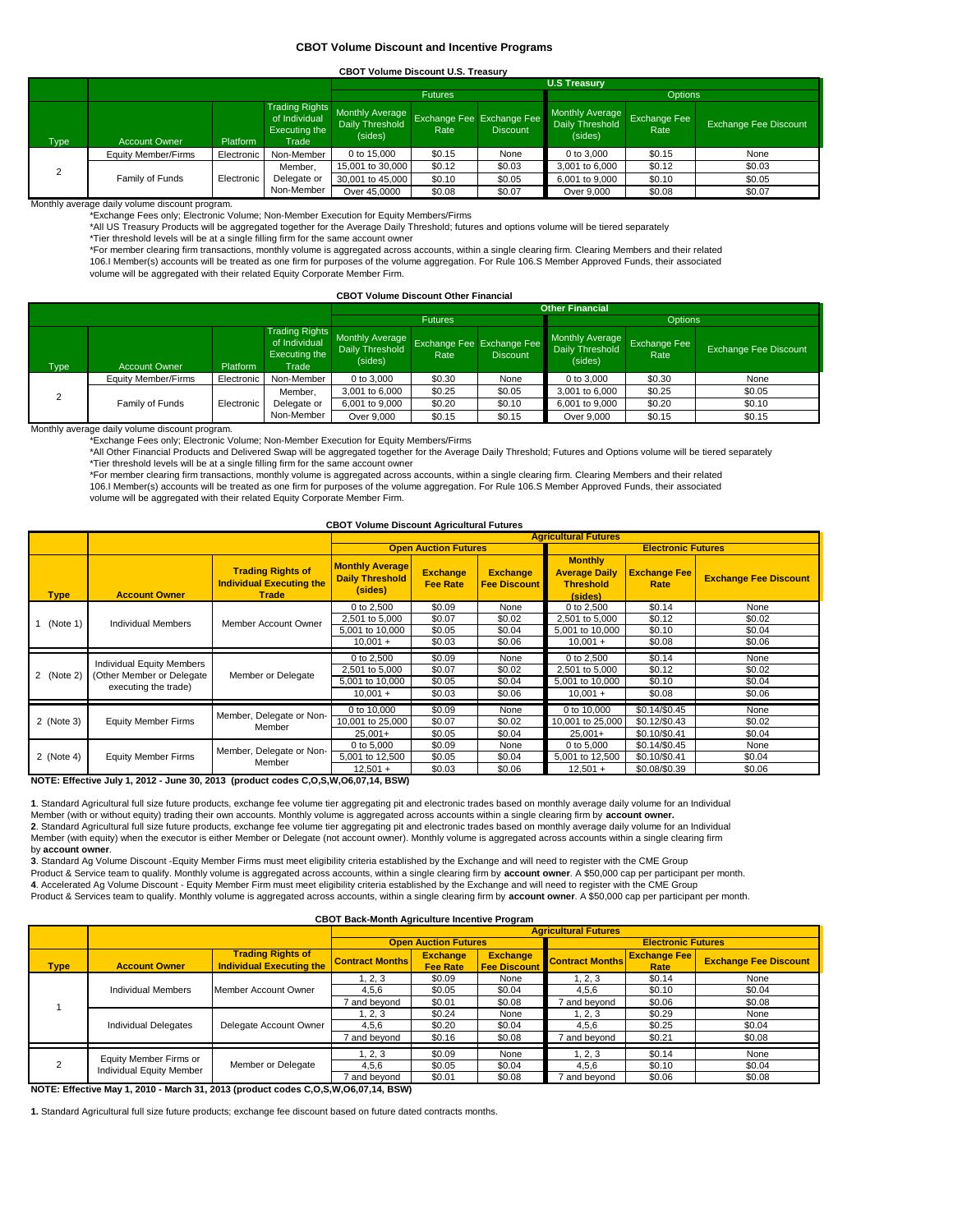#### **CBOT Volume Discount and Incentive Programs**

#### **CBOT Volume Discount U.S. Treasury**

|                   |                      |                 |                                                                  |                                                                         | <b>U.S Treasury</b>              |                 |                                                      |                      |                              |  |  |  |
|-------------------|----------------------|-----------------|------------------------------------------------------------------|-------------------------------------------------------------------------|----------------------------------|-----------------|------------------------------------------------------|----------------------|------------------------------|--|--|--|
|                   |                      |                 |                                                                  |                                                                         | <b>Futures</b><br><b>Options</b> |                 |                                                      |                      |                              |  |  |  |
| Type <sup>1</sup> | <b>Account Owner</b> | <b>Platform</b> | <b>Trading Rights</b><br>of Individual<br>Executing the<br>Trade | Monthly Average Exchange Fee Exchange Fee<br>Daily Threshold<br>(sides) | Rate                             | <b>Discount</b> | <b>Monthly Average</b><br>Daily Threshold<br>(sides) | Exchange Fee<br>Rate | <b>Exchange Fee Discount</b> |  |  |  |
|                   | Equity Member/Firms  | Electronic      | Non-Member                                                       | 0 to 15,000                                                             | \$0.15                           | None            | 0 to 3,000                                           | \$0.15               | None                         |  |  |  |
| $\sim$            |                      |                 | Member.                                                          | 15,001 to 30,000                                                        | \$0.12                           | \$0.03          | 3,001 to 6,000                                       | \$0.12               | \$0.03                       |  |  |  |
|                   | Family of Funds      | Electronic      | Delegate or                                                      | 30,001 to 45,000                                                        | \$0.10                           | \$0.05          | 6,001 to 9,000                                       | \$0.10               | \$0.05                       |  |  |  |
|                   |                      |                 | Non-Member                                                       | Over 45,0000                                                            | \$0.08                           | \$0.07          | Over 9,000                                           | \$0.08               | \$0.07                       |  |  |  |

Monthly average daily volume discount program.

\*Exchange Fees only; Electronic Volume; Non-Member Execution for Equity Members/Firms

\*All US Treasury Products will be aggregated together for the Average Daily Threshold; futures and options volume will be tiered separately

\*Tier threshold levels will be at a single filling firm for the same account owner

\*For member clearing firm transactions, monthly volume is aggregated across accounts, within a single clearing firm. Clearing Members and their related 106.I Member(s) accounts will be treated as one firm for purposes of the volume aggregation. For Rule 106.S Member Approved Funds, their associated volume will be aggregated with their related Equity Corporate Member Firm.

#### **CBOT Volume Discount Other Financial**

|                |                      |                   | <b>Other Financial</b>                                           |                                                                         |        |                 |                                                      |                      |                              |  |
|----------------|----------------------|-------------------|------------------------------------------------------------------|-------------------------------------------------------------------------|--------|-----------------|------------------------------------------------------|----------------------|------------------------------|--|
|                |                      |                   |                                                                  | <b>Futures</b>                                                          |        |                 | <b>Options</b>                                       |                      |                              |  |
| Type           | <b>Account Owner</b> | Platform          | <b>Trading Rights</b><br>of Individual<br>Executing the<br>Trade | Monthly Average Exchange Fee Exchange Fee<br>Daily Threshold<br>(sides) | Rate   | <b>Discount</b> | <b>Monthly Average</b><br>Daily Threshold<br>(sides) | Exchange Fee<br>Rate | <b>Exchange Fee Discount</b> |  |
|                | Equity Member/Firms  | <b>Electronic</b> | Non-Member                                                       | 0 to 3,000                                                              | \$0.30 | None            | 0 to 3,000                                           | \$0.30               | None                         |  |
| $\overline{2}$ |                      |                   | Member.                                                          | 3,001 to 6,000                                                          | \$0.25 | \$0.05          | 3,001 to 6,000                                       | \$0.25               | \$0.05                       |  |
|                | Family of Funds      | Electronic        | Delegate or                                                      | 6,001 to 9,000                                                          | \$0.20 | \$0.10          | 6,001 to 9,000                                       | \$0.20               | \$0.10                       |  |
|                |                      |                   | Non-Member                                                       | Over 9,000                                                              | \$0.15 | \$0.15          | Over 9,000                                           | \$0.15               | \$0.15                       |  |

#### Monthly average daily volume discount program.

\*Exchange Fees only; Electronic Volume; Non-Member Execution for Equity Members/Firms

\*All Other Financial Products and Delivered Swap will be aggregated together for the Average Daily Threshold; Futures and Options volume will be tiered separately \*Tier threshold levels will be at a single filling firm for the same account owner

\*For member clearing firm transactions, monthly volume is aggregated across accounts, within a single clearing firm. Clearing Members and their related 106.I Member(s) accounts will be treated as one firm for purposes of the volume aggregation. For Rule 106.S Member Approved Funds, their associated volume will be aggregated with their related Equity Corporate Member Firm.

#### **CBOT Volume Discount Agricultural Futures**

|             |                                                        |                                                                             |                                                             | <b>Agricultural Futures</b>                              |                                        |                                                                       |                             |                              |  |  |  |
|-------------|--------------------------------------------------------|-----------------------------------------------------------------------------|-------------------------------------------------------------|----------------------------------------------------------|----------------------------------------|-----------------------------------------------------------------------|-----------------------------|------------------------------|--|--|--|
|             |                                                        |                                                                             |                                                             | <b>Open Auction Futures</b><br><b>Electronic Futures</b> |                                        |                                                                       |                             |                              |  |  |  |
| <b>Type</b> | <b>Account Owner</b>                                   | <b>Trading Rights of</b><br><b>Individual Executing the</b><br><b>Trade</b> | <b>Monthly Average</b><br><b>Daily Threshold</b><br>(sides) | <b>Exchange</b><br><b>Fee Rate</b>                       | <b>Exchange</b><br><b>Fee Discount</b> | <b>Monthly</b><br><b>Average Daily</b><br><b>Threshold</b><br>(sides) | <b>Exchange Fee</b><br>Rate | <b>Exchange Fee Discount</b> |  |  |  |
|             |                                                        |                                                                             | 0 to 2,500                                                  | \$0.09                                                   | None                                   | 0 to 2,500                                                            | \$0.14                      | None                         |  |  |  |
| (Note 1)    | <b>Individual Members</b>                              | Member Account Owner                                                        | 2,501 to 5,000                                              | \$0.07                                                   | \$0.02                                 | 2,501 to 5,000                                                        | \$0.12                      | \$0.02                       |  |  |  |
|             |                                                        |                                                                             | 5,001 to 10,000                                             | \$0.05                                                   | \$0.04                                 | 5,001 to 10,000                                                       | \$0.10                      | \$0.04                       |  |  |  |
|             |                                                        |                                                                             | $10.001 +$                                                  | \$0.03                                                   | \$0.06                                 | $10,001 +$                                                            | \$0.08                      | \$0.06                       |  |  |  |
|             |                                                        |                                                                             | 0 to 2,500                                                  | \$0.09                                                   | None                                   | 0 to 2,500                                                            | \$0.14                      | None                         |  |  |  |
|             | Individual Equity Members<br>(Other Member or Delegate | Member or Delegate<br>executing the trade)                                  | 2,501 to 5,000                                              | \$0.07                                                   | \$0.02                                 | 2,501 to 5,000                                                        | \$0.12                      | \$0.02                       |  |  |  |
| 2 (Note 2)  |                                                        |                                                                             | 5,001 to 10,000                                             | \$0.05                                                   | \$0.04                                 | 5,001 to 10,000                                                       | \$0.10                      | \$0.04                       |  |  |  |
|             |                                                        |                                                                             | $10.001 +$                                                  | \$0.03                                                   | \$0.06                                 | $10,001 +$                                                            | \$0.08                      | \$0.06                       |  |  |  |
|             |                                                        |                                                                             |                                                             |                                                          |                                        |                                                                       |                             |                              |  |  |  |
|             |                                                        | Member, Delegate or Non-                                                    | 0 to 10,000                                                 | \$0.09                                                   | None                                   | 0 to 10,000                                                           | \$0.14/\$0.45               | None                         |  |  |  |
| 2 (Note 3)  | <b>Equity Member Firms</b>                             | Member                                                                      | 10,001 to 25,000                                            | \$0.07                                                   | \$0.02                                 | 10,001 to 25,000                                                      | \$0.12/\$0.43               | \$0.02                       |  |  |  |
|             |                                                        |                                                                             | $25.001+$                                                   | \$0.05                                                   | \$0.04                                 | $25,001+$                                                             | \$0.10/\$0.41               | \$0.04                       |  |  |  |
|             |                                                        |                                                                             | 0 to 5,000                                                  | \$0.09                                                   | None                                   | 0 to 5,000                                                            | \$0.14/\$0.45               | None                         |  |  |  |
| 2 (Note 4)  | <b>Equity Member Firms</b>                             | Member, Delegate or Non-                                                    |                                                             | \$0.05                                                   | \$0.04                                 | 5,001 to 12,500                                                       | \$0.10/\$0.41               | \$0.04                       |  |  |  |
|             |                                                        | Member                                                                      | $12,501 +$                                                  | \$0.03                                                   | \$0.06                                 | $12,501 +$                                                            | \$0.08/\$0.39               | \$0.06                       |  |  |  |

**NOTE: Effective July 1, 2012 - June 30, 2013 (product codes C,O,S,W,O6,07,14, BSW)**

**1**. Standard Agricultural full size future products, exchange fee volume tier aggregating pit and electronic trades based on monthly average daily volume for an Individual Member (with or without equity) trading their own accounts. Monthly volume is aggregated across accounts within a single clearing firm by **account owner.**<br>2. Standard Agricultural full size future products, exchange fee vo Member (with equity) when the executor is either Member or Delegate (not account owner). Monthly volume is aggregated across accounts within a single clearing firm by **account owner**.

**3**. Standard Ag Volume Discount -Equity Member Firms must meet eligibility criteria established by the Exchange and will need to register with the CME Group Product & Service team to qualify. Monthly volume is aggregated across accounts, within a single clearing firm by **account owner**. A \$50,000 cap per participant per month.<br>4. Accelerated Ag Volume Discount - Equity Member Product & Services team to qualify. Monthly volume is aggregated across accounts, within a single clearing firm by **account owner**. A \$50,000 cap per participant per month.

#### **CBOT Back-Month Agriculture Incentive Program**

|             |                             |                                                             |                        |                                    |                                 | <b>Agricultural Futures</b> |                             |                              |
|-------------|-----------------------------|-------------------------------------------------------------|------------------------|------------------------------------|---------------------------------|-----------------------------|-----------------------------|------------------------------|
|             |                             |                                                             |                        | <b>Open Auction Futures</b>        |                                 |                             | <b>Electronic Futures</b>   |                              |
| <b>Type</b> | <b>Account Owner</b>        | <b>Trading Rights of</b><br><b>Individual Executing the</b> | <b>Contract Months</b> | <b>Exchange</b><br><b>Fee Rate</b> | Exchange<br><b>Fee Discount</b> | <b>Contract Months</b>      | <b>Exchange Fee</b><br>Rate | <b>Exchange Fee Discount</b> |
|             |                             |                                                             | 1, 2, 3                | \$0.09                             | None                            | 1, 2, 3                     | \$0.14                      | None                         |
|             | Individual Members          | Member Account Owner                                        | 4,5,6                  | \$0.05                             | \$0.04                          | 4,5,6                       | \$0.10                      | \$0.04                       |
|             |                             |                                                             | 7 and beyond           | \$0.01                             | \$0.08                          | and beyond                  | \$0.06                      | \$0.08                       |
|             |                             | Delegate Account Owner                                      | 1. 2. 3                | \$0.24                             | None                            | 1, 2, 3                     | \$0.29                      | None                         |
|             | <b>Individual Delegates</b> |                                                             | 4,5,6                  | \$0.20                             | \$0.04                          | 4,5,6                       | \$0.25                      | \$0.04                       |
|             |                             |                                                             | 7 and beyond           | \$0.16                             | \$0.08                          | and bevond                  | \$0.21                      | \$0.08                       |
|             | Equity Member Firms or      |                                                             | 1, 2, 3                | \$0.09                             | None                            | 1, 2, 3                     | \$0.14                      | None                         |
|             | Individual Equity Member    | Member or Delegate                                          | 4,5,6                  | \$0.05                             | \$0.04                          | 4,5,6                       | \$0.10                      | \$0.04                       |
|             |                             |                                                             | 7 and bevond           | \$0.01                             | \$0.08                          | and bevond                  | \$0.06                      | \$0.08                       |

**NOTE: Effective May 1, 2010 - March 31, 2013 (product codes C,O,S,W,O6,07,14, BSW)**

**1.** Standard Agricultural full size future products; exchange fee discount based on future dated contracts months.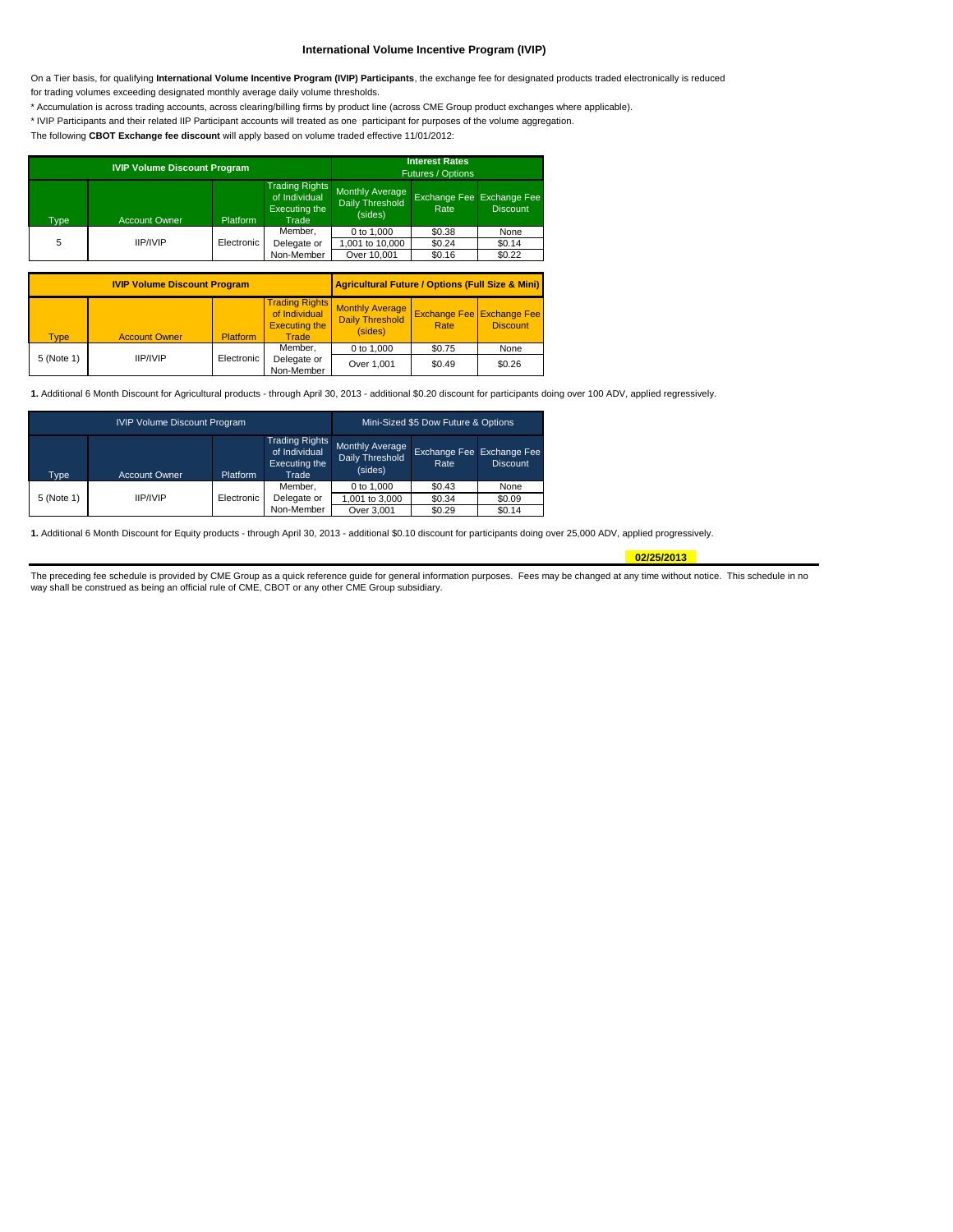# **International Volume Incentive Program (IVIP)**

On a Tier basis, for qualifying **International Volume Incentive Program (IVIP) Participants**, the exchange fee for designated products traded electronically is reduced for trading volumes exceeding designated monthly average daily volume thresholds.

\* Accumulation is across trading accounts, across clearing/billing firms by product line (across CME Group product exchanges where applicable).

\* IVIP Participants and their related IIP Participant accounts will treated as one participant for purposes of the volume aggregation.

The following **CBOT Exchange fee discount** will apply based on volume traded effective 11/01/2012:

|                   | <b>IVIP Volume Discount Program</b> | <b>Interest Rates</b><br>Futures / Options |                                                                  |                                                      |                                   |                          |
|-------------------|-------------------------------------|--------------------------------------------|------------------------------------------------------------------|------------------------------------------------------|-----------------------------------|--------------------------|
| Type <sup>1</sup> | <b>Account Owner</b>                | Platform                                   | <b>Trading Rights</b><br>of Individual<br>Executing the<br>Trade | <b>Monthly Average</b><br>Daily Threshold<br>(sides) | Exchange Fee Exchange Fee<br>Rate | <b>Discount</b>          |
| 5                 | <b>IIP/IVIP</b>                     | Electronic                                 | Member.<br>Delegate or<br>Non-Member                             | 0 to 1,000<br>1,001 to 10,000<br>Over 10,001         | \$0.38<br>\$0.24<br>\$0.16        | None<br>\$0.14<br>\$0.22 |

|             | <b>IVIP Volume Discount Program</b> | <b>Agricultural Future / Options (Full Size &amp; Mini)</b> |                                                                         |                                                             |                                          |                 |  |
|-------------|-------------------------------------|-------------------------------------------------------------|-------------------------------------------------------------------------|-------------------------------------------------------------|------------------------------------------|-----------------|--|
| <b>Type</b> | <b>Account Owner</b>                | <b>Platform</b>                                             | <b>Trading Rights</b><br>of Individual<br><b>Executing the</b><br>Trade | <b>Monthly Average</b><br><b>Daily Threshold</b><br>(sides) | <b>Exchange Fee Exchange Fee</b><br>Rate | <b>Discount</b> |  |
|             |                                     |                                                             | Member.                                                                 | 0 to 1,000                                                  | \$0.75                                   | None            |  |
| 5 (Note 1)  | <b>IIP/IVIP</b><br>Electronic       |                                                             | Delegate or<br>Non-Member                                               | Over 1,001                                                  | \$0.49                                   | \$0.26          |  |

**1.** Additional 6 Month Discount for Agricultural products - through April 30, 2013 - additional \$0.20 discount for participants doing over 100 ADV, applied regressively.

|            | <b>IVIP Volume Discount Program</b> | Mini-Sized \$5 Dow Future & Options |                                                                  |                                               |        |                                              |
|------------|-------------------------------------|-------------------------------------|------------------------------------------------------------------|-----------------------------------------------|--------|----------------------------------------------|
| Type       | <b>Account Owner</b>                | Platform                            | <b>Trading Rights</b><br>of Individual<br>Executing the<br>Trade | Monthly Average<br>Daily Threshold<br>(sides) | Rate   | Exchange Fee Exchange Fee<br><b>Discount</b> |
|            |                                     |                                     | Member.                                                          | 0 to 1.000                                    | \$0.43 | None                                         |
| 5 (Note 1) | <b>IIP/IVIP</b>                     | Electronic                          | Delegate or                                                      | 1.001 to 3.000                                | \$0.34 | \$0.09                                       |
|            |                                     |                                     | Non-Member                                                       | Over 3,001                                    | \$0.29 | \$0.14                                       |

**1.** Additional 6 Month Discount for Equity products - through April 30, 2013 - additional \$0.10 discount for participants doing over 25,000 ADV, applied progressively.

**02/25/2013**

The preceding fee schedule is provided by CME Group as a quick reference guide for general information purposes. Fees may be changed at any time without notice. This schedule in no way shall be construed as being an official rule of CME, CBOT or any other CME Group subsidiary.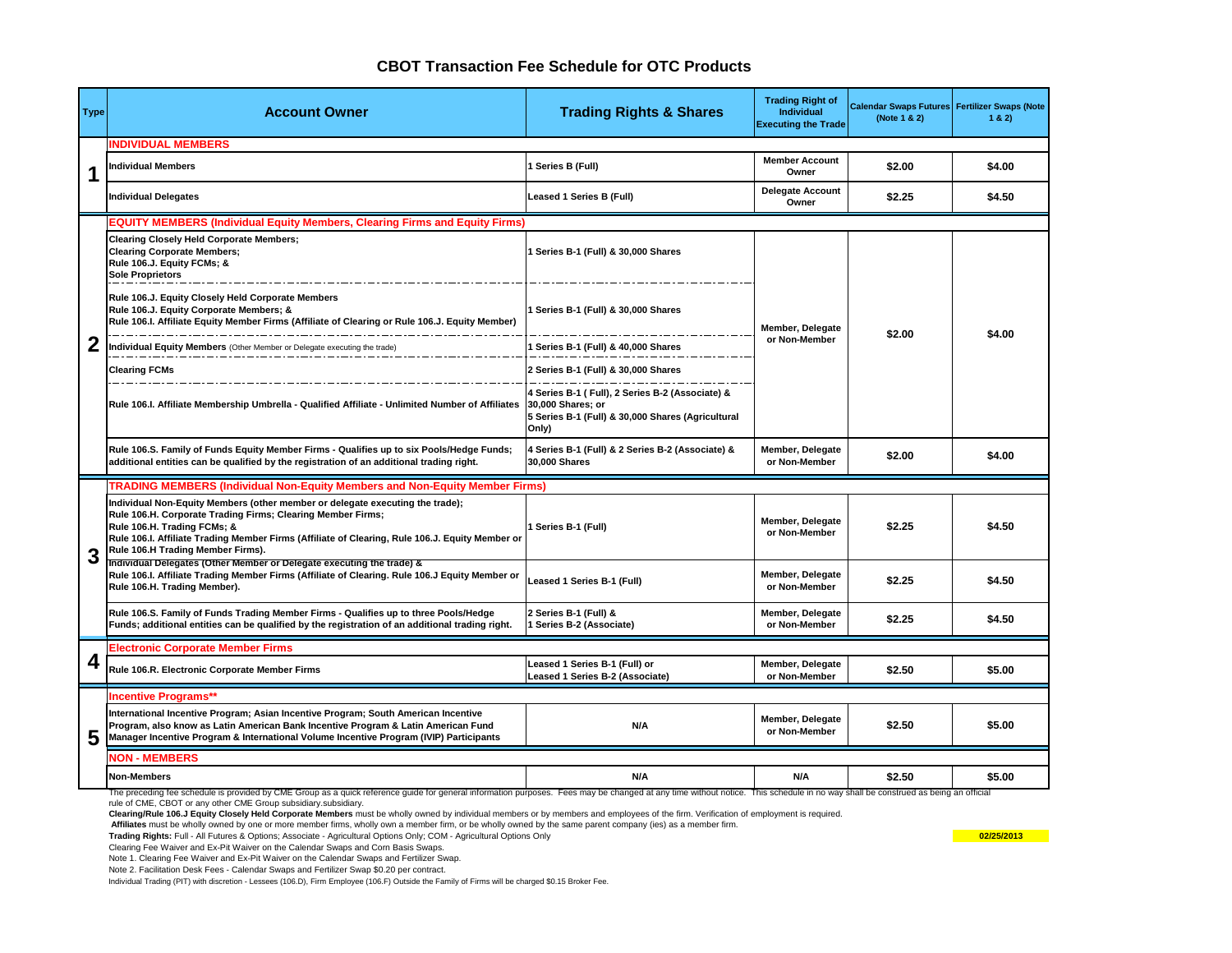# **CBOT Transaction Fee Schedule for OTC Products**

| <b>Type</b> | <b>Account Owner</b>                                                                                                                                                                                                                                                                                                | <b>Trading Rights &amp; Shares</b>                                                                                                 | <b>Trading Right of</b><br>Individual<br><b>Executing the Trade</b> | Calendar Swaps Futures Fertilizer Swaps (Note<br>(Note 1 & 2) | 1 & 2) |
|-------------|---------------------------------------------------------------------------------------------------------------------------------------------------------------------------------------------------------------------------------------------------------------------------------------------------------------------|------------------------------------------------------------------------------------------------------------------------------------|---------------------------------------------------------------------|---------------------------------------------------------------|--------|
|             | <b>INDIVIDUAL MEMBERS</b>                                                                                                                                                                                                                                                                                           |                                                                                                                                    |                                                                     |                                                               |        |
| 1           | Individual Members                                                                                                                                                                                                                                                                                                  | 1 Series B (Full)                                                                                                                  | <b>Member Account</b><br>Owner                                      | \$2.00                                                        | \$4.00 |
|             | Individual Delegates                                                                                                                                                                                                                                                                                                | Leased 1 Series B (Full)                                                                                                           | <b>Delegate Account</b><br>Owner                                    | \$2.25                                                        | \$4.50 |
|             | <b>EQUITY MEMBERS (Individual Equity Members, Clearing Firms and Equity Firms)</b>                                                                                                                                                                                                                                  |                                                                                                                                    |                                                                     |                                                               |        |
|             | <b>Clearing Closely Held Corporate Members:</b><br><b>Clearing Corporate Members:</b><br>Rule 106.J. Equity FCMs; &<br><b>Sole Proprietors</b>                                                                                                                                                                      | 1 Series B-1 (Full) & 30,000 Shares                                                                                                |                                                                     |                                                               |        |
|             | Rule 106.J. Equity Closely Held Corporate Members<br>Rule 106.J. Equity Corporate Members; &<br>Rule 106.I. Affiliate Equity Member Firms (Affiliate of Clearing or Rule 106.J. Equity Member)                                                                                                                      | 1 Series B-1 (Full) & 30,000 Shares                                                                                                | Member, Delegate                                                    | \$2.00                                                        | \$4.00 |
| 2           | Individual Equity Members (Other Member or Delegate executing the trade)                                                                                                                                                                                                                                            | 1 Series B-1 (Full) & 40,000 Shares                                                                                                | or Non-Member                                                       |                                                               |        |
|             | <b>Clearing FCMs</b>                                                                                                                                                                                                                                                                                                | 2 Series B-1 (Full) & 30,000 Shares                                                                                                |                                                                     |                                                               |        |
|             | Rule 106.I. Affiliate Membership Umbrella - Qualified Affiliate - Unlimited Number of Affiliates                                                                                                                                                                                                                    | 4 Series B-1 (Full), 2 Series B-2 (Associate) &<br>30,000 Shares; or<br>5 Series B-1 (Full) & 30,000 Shares (Agricultural<br>Only) |                                                                     |                                                               |        |
|             | Rule 106.S. Family of Funds Equity Member Firms - Qualifies up to six Pools/Hedge Funds;<br>additional entities can be qualified by the registration of an additional trading right.                                                                                                                                | 4 Series B-1 (Full) & 2 Series B-2 (Associate) &<br>30,000 Shares                                                                  | Member, Delegate<br>or Non-Member                                   | \$2.00                                                        | \$4.00 |
|             | <b>TRADING MEMBERS (Individual Non-Equity Members and Non-Equity Member Firms)</b>                                                                                                                                                                                                                                  |                                                                                                                                    |                                                                     |                                                               |        |
|             | Individual Non-Equity Members (other member or delegate executing the trade);<br>Rule 106.H. Corporate Trading Firms; Clearing Member Firms;<br>Rule 106.H. Trading FCMs; &<br>Rule 106.I. Affiliate Trading Member Firms (Affiliate of Clearing, Rule 106.J. Equity Member or<br>Rule 106.H Trading Member Firms). | 1 Series B-1 (Full)                                                                                                                | Member, Delegate<br>or Non-Member                                   | \$2.25                                                        | \$4.50 |
|             | Individual Delegates (Other Member or Delegate executing the trade) &<br>Rule 106.I. Affiliate Trading Member Firms (Affiliate of Clearing. Rule 106.J Equity Member or<br>Rule 106.H. Trading Member).                                                                                                             | Leased 1 Series B-1 (Full)                                                                                                         | Member, Delegate<br>or Non-Member                                   | \$2.25                                                        | \$4.50 |
|             | Rule 106.S. Family of Funds Trading Member Firms - Qualifies up to three Pools/Hedge<br>Funds; additional entities can be qualified by the registration of an additional trading right.                                                                                                                             | 2 Series B-1 (Full) &<br>1 Series B-2 (Associate)                                                                                  | Member, Delegate<br>or Non-Member                                   | \$2.25                                                        | \$4.50 |
|             | <b>Electronic Corporate Member Firms</b>                                                                                                                                                                                                                                                                            |                                                                                                                                    |                                                                     |                                                               |        |
| 4           | Rule 106.R. Electronic Corporate Member Firms                                                                                                                                                                                                                                                                       | Leased 1 Series B-1 (Full) or<br>Leased 1 Series B-2 (Associate)                                                                   | Member, Delegate<br>or Non-Member                                   | \$2.50                                                        | \$5.00 |
|             | <b>Incentive Programs**</b>                                                                                                                                                                                                                                                                                         |                                                                                                                                    |                                                                     |                                                               |        |
| 5           | International Incentive Program; Asian Incentive Program; South American Incentive<br>Program, also know as Latin American Bank Incentive Program & Latin American Fund<br>Manager Incentive Program & International Volume Incentive Program (IVIP) Participants                                                   | N/A                                                                                                                                | Member, Delegate<br>or Non-Member                                   | \$2.50                                                        | \$5.00 |
|             | <b>NON - MEMBERS</b>                                                                                                                                                                                                                                                                                                |                                                                                                                                    |                                                                     |                                                               |        |
|             | <b>Non-Members</b>                                                                                                                                                                                                                                                                                                  | N/A                                                                                                                                | N/A                                                                 | \$2.50                                                        | \$5.00 |
|             | The preceding fee schedule is provided by CME Group as a quick reference guide for general information purposes. Fees may be changed at any time without notice. This schedule in no way shall be construed as being an offici<br>rule of CME, CBOT or any other CME Group subsidiary.subsidiary.                   |                                                                                                                                    |                                                                     |                                                               |        |

**Clearing/Rule 106.J Equity Closely Held Corporate Members** must be wholly owned by individual members or by members and employees of the firm. Verification of employment is required.

 **Affiliates** must be wholly owned by one or more member firms, wholly own a member firm, or be wholly owned by the same parent company (ies) as a member firm.

**Trading Rights:** Full - All Futures & Options; Associate - Agricultural Options Only; COM - Agricultural Options Only **02/25/2013**

Clearing Fee Waiver and Ex-Pit Waiver on the Calendar Swaps and Corn Basis Swaps.

Note 1. Clearing Fee Waiver and Ex-Pit Waiver on the Calendar Swaps and Fertilizer Swap.

Note 2. Facilitation Desk Fees - Calendar Swaps and Fertilizer Swap \$0.20 per contract.

Individual Trading (PIT) with discretion - Lessees (106.D), Firm Employee (106.F) Outside the Family of Firms will be charged \$0.15 Broker Fee.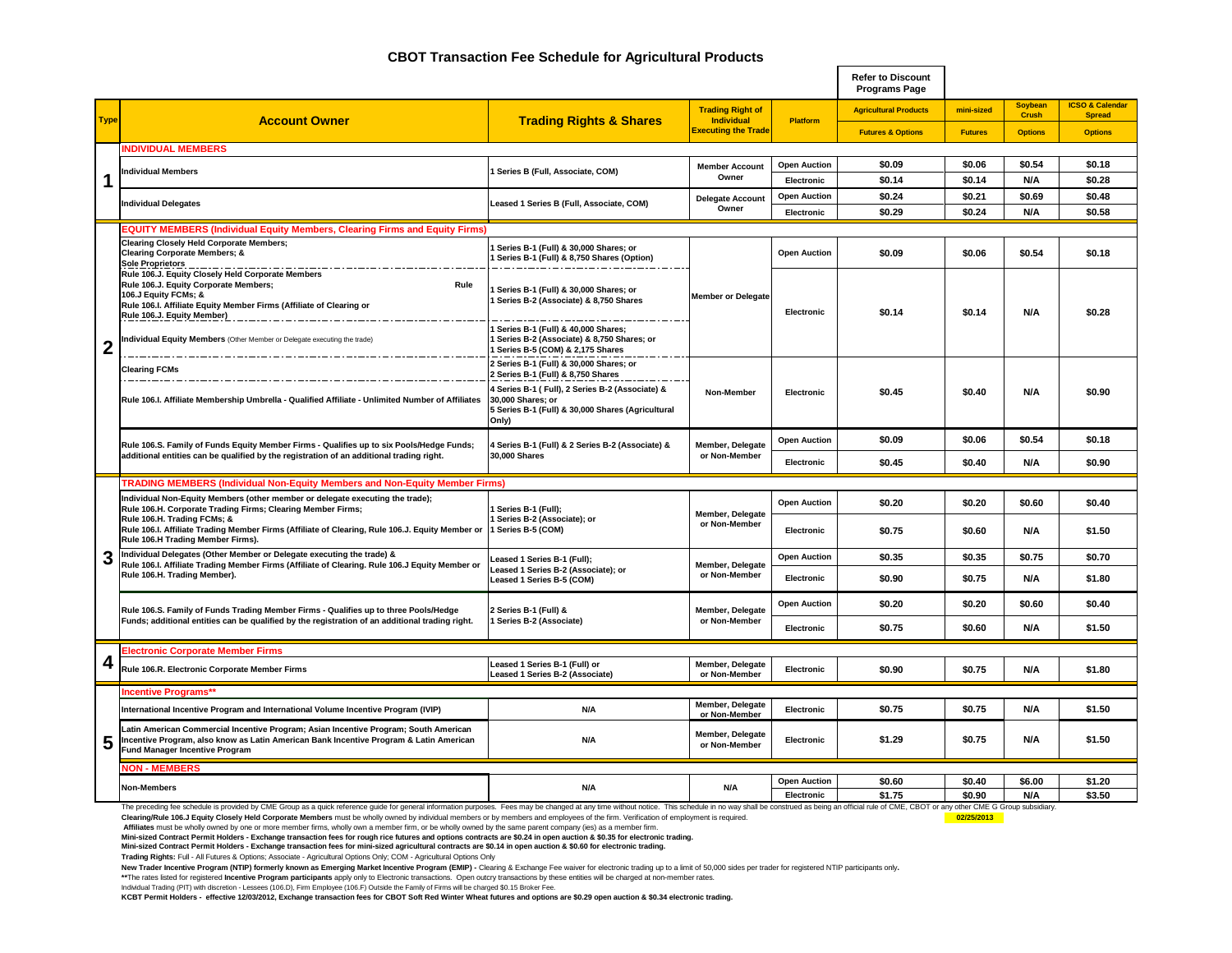# **CBOT Transaction Fee Schedule for Agricultural Products**

|             |                                                                                                                                                                                                                                 |                                                                                                                                     |                                          |                                   | <b>Refer to Discount</b><br><b>Programs Page</b> |                  |                                |                                             |
|-------------|---------------------------------------------------------------------------------------------------------------------------------------------------------------------------------------------------------------------------------|-------------------------------------------------------------------------------------------------------------------------------------|------------------------------------------|-----------------------------------|--------------------------------------------------|------------------|--------------------------------|---------------------------------------------|
|             |                                                                                                                                                                                                                                 |                                                                                                                                     | <b>Trading Right of</b>                  |                                   | <b>Agricultural Products</b>                     | mini-sized       | <b>Soybean</b><br><b>Crush</b> | <b>ICSO &amp; Calendar</b><br><b>Spread</b> |
| <b>Type</b> | <b>Account Owner</b>                                                                                                                                                                                                            | <b>Trading Rights &amp; Shares</b>                                                                                                  | Individual<br><b>Executing the Trade</b> | Platform                          | <b>Futures &amp; Options</b>                     | <b>Futures</b>   | <b>Options</b>                 | <b>Options</b>                              |
|             | <b>NDIVIDUAL MEMBERS</b>                                                                                                                                                                                                        |                                                                                                                                     |                                          |                                   |                                                  |                  |                                |                                             |
|             | Individual Members                                                                                                                                                                                                              | Series B (Full, Associate, COM)                                                                                                     | <b>Member Account</b>                    | <b>Open Auction</b>               | \$0.09                                           | \$0.06           | \$0.54                         | \$0.18                                      |
| 1           |                                                                                                                                                                                                                                 |                                                                                                                                     | Owner                                    | Electronic                        | \$0.14                                           | \$0.14           | N/A                            | \$0.28                                      |
|             | <b>Individual Delegates</b>                                                                                                                                                                                                     | Leased 1 Series B (Full, Associate, COM)                                                                                            | <b>Delegate Account</b>                  | <b>Open Auction</b>               | \$0.24                                           | \$0.21           | \$0.69                         | \$0.48                                      |
|             |                                                                                                                                                                                                                                 |                                                                                                                                     | Owner                                    | Electronic                        | \$0.29                                           | \$0.24           | N/A                            | \$0.58                                      |
|             | <b>EQUITY MEMBERS (Individual Equity Members, Clearing Firms and Equity Firms)</b>                                                                                                                                              |                                                                                                                                     |                                          |                                   |                                                  |                  |                                |                                             |
|             | <b>Clearing Closely Held Corporate Members;</b><br><b>Clearing Corporate Members; &amp;</b><br><b>Sole Proprietors</b>                                                                                                          | Series B-1 (Full) & 30,000 Shares; or<br>Series B-1 (Full) & 8,750 Shares (Option)                                                  |                                          | <b>Open Auction</b>               | \$0.09                                           | \$0.06           | \$0.54                         | \$0.18                                      |
|             | Rule 106.J. Equity Closely Held Corporate Members<br>Rule 106.J. Equity Corporate Members;<br>Rule<br>106.J Equity FCMs; &<br>Rule 106.I. Affiliate Equity Member Firms (Affiliate of Clearing or<br>Rule 106.J. Equity Member) | Series B-1 (Full) & 30,000 Shares; or<br>Series B-2 (Associate) & 8,750 Shares                                                      | <b>Member or Delegate</b>                | Electronic                        | \$0.14                                           | \$0.14           | N/A                            | \$0.28                                      |
| 2           | Individual Equity Members (Other Member or Delegate executing the trade)                                                                                                                                                        | 1 Series B-1 (Full) & 40,000 Shares;<br>1 Series B-2 (Associate) & 8,750 Shares; or<br>1 Series B-5 (COM) & 2,175 Shares            |                                          |                                   |                                                  |                  |                                |                                             |
|             | <b>Clearing FCMs</b>                                                                                                                                                                                                            |                                                                                                                                     |                                          |                                   |                                                  |                  |                                |                                             |
|             | Rule 106.I. Affiliate Membership Umbrella - Qualified Affiliate - Unlimited Number of Affiliates                                                                                                                                | 4 Series B-1 ( Full), 2 Series B-2 (Associate) &<br>30,000 Shares; or<br>5 Series B-1 (Full) & 30,000 Shares (Agricultural<br>Only) | Non-Member                               | Electronic                        | \$0.45                                           | \$0.40           | N/A                            | \$0.90                                      |
|             | Rule 106.S. Family of Funds Equity Member Firms - Qualifies up to six Pools/Hedge Funds;                                                                                                                                        | Series B-1 (Full) & 2 Series B-2 (Associate) &                                                                                      | Member, Delegate                         | <b>Open Auction</b>               | \$0.09                                           | \$0.06           | \$0.54                         | \$0.18                                      |
|             | additional entities can be qualified by the registration of an additional trading right.                                                                                                                                        | 30,000 Shares                                                                                                                       | or Non-Member                            | Electronic                        | \$0.45                                           | \$0.40           | N/A                            | \$0.90                                      |
|             | TRADING MEMBERS (Individual Non-Equity Members and Non-Equity Member Firms)                                                                                                                                                     |                                                                                                                                     |                                          |                                   |                                                  |                  |                                |                                             |
|             | Individual Non-Equity Members (other member or delegate executing the trade);<br>Rule 106.H. Corporate Trading Firms; Clearing Member Firms;                                                                                    | Series B-1 (Full);                                                                                                                  |                                          | <b>Open Auction</b>               | \$0.20                                           | \$0.20           | \$0.60                         | \$0.40                                      |
|             | Rule 106.H. Trading FCMs; &<br>Rule 106.I. Affiliate Trading Member Firms (Affiliate of Clearing, Rule 106.J. Equity Member or<br>Rule 106.H Trading Member Firms).                                                             | Series B-2 (Associate); or<br>1 Series B-5 (COM)                                                                                    | Member, Delegate<br>or Non-Member        | Electronic                        | \$0.75                                           | \$0.60           | N/A                            | \$1.50                                      |
|             | Individual Delegates (Other Member or Delegate executing the trade) &                                                                                                                                                           | eased 1 Series B-1 (Full);                                                                                                          |                                          | <b>Open Auction</b>               | \$0.35                                           | \$0.35           | \$0.75                         | \$0.70                                      |
|             | Rule 106.I. Affiliate Trading Member Firms (Affiliate of Clearing. Rule 106.J Equity Member or<br>Rule 106.H. Trading Member).                                                                                                  | eased 1 Series B-2 (Associate); or<br>Leased 1 Series B-5 (COM)                                                                     | Member, Delegate<br>or Non-Member        | Electronic                        | \$0.90                                           | \$0.75           | N/A                            | \$1.80                                      |
|             | Rule 106.S. Family of Funds Trading Member Firms - Qualifies up to three Pools/Hedge                                                                                                                                            | 2 Series B-1 (Full) &                                                                                                               | Member, Delegate                         | <b>Open Auction</b>               | \$0.20                                           | \$0.20           | \$0.60                         | \$0.40                                      |
|             | Funds; additional entities can be qualified by the registration of an additional trading right.                                                                                                                                 | Series B-2 (Associate)                                                                                                              | or Non-Member                            | Electronic                        | \$0.75                                           | \$0.60           | N/A                            | \$1.50                                      |
|             | lectronic Corporate Member Firms                                                                                                                                                                                                |                                                                                                                                     |                                          |                                   |                                                  |                  |                                |                                             |
| 4           | Rule 106.R. Electronic Corporate Member Firms                                                                                                                                                                                   | Leased 1 Series B-1 (Full) or<br>Leased 1 Series B-2 (Associate)                                                                    | Member, Delegate<br>or Non-Member        | Electronic                        | \$0.90                                           | \$0.75           | N/A                            | \$1.80                                      |
|             | <b>Incentive Programs'</b>                                                                                                                                                                                                      |                                                                                                                                     |                                          |                                   |                                                  |                  |                                |                                             |
|             | International Incentive Program and International Volume Incentive Program (IVIP)                                                                                                                                               | N/A                                                                                                                                 | Member, Delegate<br>or Non-Member        | Electronic                        | \$0.75                                           | \$0.75           | N/A                            | \$1.50                                      |
| 5           | Latin American Commercial Incentive Program; Asian Incentive Program; South American<br>Incentive Program, also know as Latin American Bank Incentive Program & Latin American<br>Fund Manager Incentive Program                | N/A                                                                                                                                 | Member, Delegate<br>or Non-Member        | Electronic                        | \$1.29                                           | \$0.75           | N/A                            | \$1.50                                      |
|             | <b>VON - MEMBERS</b>                                                                                                                                                                                                            |                                                                                                                                     |                                          |                                   |                                                  |                  |                                |                                             |
|             | <b>Non-Members</b>                                                                                                                                                                                                              | N/A                                                                                                                                 | N/A                                      | <b>Open Auction</b><br>Electronic | \$0.60<br>\$1.75                                 | \$0.40<br>\$0.90 | \$6.00<br>N/A                  | \$1.20<br>\$3.50                            |
|             | The preceding fee schedule is provided by CME Group as a quick reference guide for general information purposes. Fees may be changed at any time without notice. This schedule in no way shall be construed as being an offici  |                                                                                                                                     |                                          |                                   |                                                  |                  |                                |                                             |

Clearing/Rule 106.J Equity Closely Held Corporate Members must be wholly owned by individual members or by members and employees of the firm. Verification of employment is required.<br>Affiliates must be wholly owned by one o

**Mini-sized Contract Permit Holders - Exchange transaction fees for rough rice futures and options contracts are \$0.24 in open auction & \$0.35 for electronic trading.**

**Mini-sized Contract Permit Holders - Exchange transaction fees for mini-sized agricultural contracts are \$0.14 in open auction & \$0.60 for electronic trading.**

**Trading Rights:** Full - All Futures & Options; Associate - Agricultural Options Only; COM - Agricultural Options Only

New Trader Incentive Program (NTIP) formerly known as Emerging Market Incentive Program (EMIP) - Clearing & Exchange Fee waiver for electronic trading up to a limit of 50,000 sides per trader for registered NTIP participan

Individual Trading (PIT) with discretion - Lessees (106.D), Firm Employee (106.F) Outside the Family of Firms will be charged \$0.15 Broker Fee.<br>KCBT Permit Holders - effective 12/03/2012, Exchange transaction fees for CBOT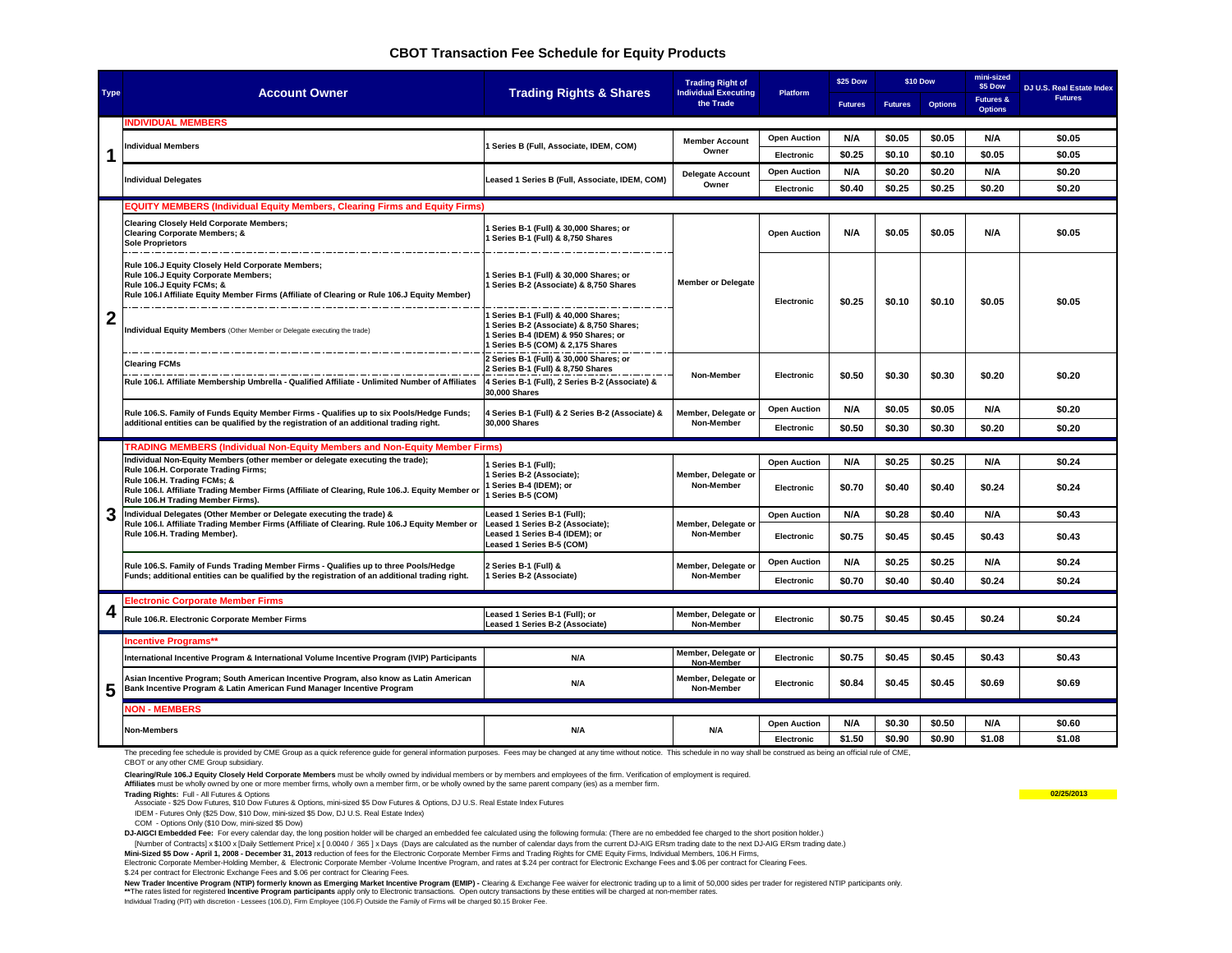# **CBOT Transaction Fee Schedule for Equity Products**

|              |                                                                                                                                                                                                                        | <b>Trading Right of</b>                                                                                                                                   |                                          |                     | <b>\$25 Dow</b> |                | \$10 Dow       | mini-sized<br>\$5 Dow                  | <b>DJ U.S. Real Estate Index</b> |  |
|--------------|------------------------------------------------------------------------------------------------------------------------------------------------------------------------------------------------------------------------|-----------------------------------------------------------------------------------------------------------------------------------------------------------|------------------------------------------|---------------------|-----------------|----------------|----------------|----------------------------------------|----------------------------------|--|
| <b>Type</b>  | <b>Account Owner</b>                                                                                                                                                                                                   | <b>Trading Rights &amp; Shares</b>                                                                                                                        | <b>Individual Executing</b><br>the Trade | Platform            | <b>Futures</b>  | <b>Futures</b> | <b>Options</b> | <b>Futures &amp;</b><br><b>Options</b> | <b>Futures</b>                   |  |
|              | <b>INDIVIDUAL MEMBERS</b>                                                                                                                                                                                              |                                                                                                                                                           |                                          |                     |                 |                |                |                                        |                                  |  |
|              |                                                                                                                                                                                                                        |                                                                                                                                                           | <b>Member Account</b>                    | <b>Open Auction</b> | N/A             | \$0.05         | \$0.05         | N/A                                    | \$0.05                           |  |
| 1            | <b>Individual Members</b>                                                                                                                                                                                              | Series B (Full, Associate, IDEM, COM)                                                                                                                     | Owner                                    | Electronic          | \$0.25          | \$0.10         | \$0.10         | \$0.05                                 | \$0.05                           |  |
|              |                                                                                                                                                                                                                        |                                                                                                                                                           | <b>Delegate Account</b>                  | <b>Open Auction</b> | N/A             | \$0.20         | \$0.20         | N/A                                    | \$0.20                           |  |
|              | <b>Individual Delegates</b>                                                                                                                                                                                            | Leased 1 Series B (Full, Associate, IDEM, COM)                                                                                                            | Owner                                    | Electronic          | \$0.40          | \$0.25         | \$0.25         | \$0.20                                 | \$0.20                           |  |
|              | <b>EQUITY MEMBERS (Individual Equity Members, Clearing Firms and Equity Firms)</b>                                                                                                                                     |                                                                                                                                                           |                                          |                     |                 |                |                |                                        |                                  |  |
|              | <b>Clearing Closely Held Corporate Members;</b><br><b>Clearing Corporate Members; &amp;</b><br><b>Sole Proprietors</b>                                                                                                 | Series B-1 (Full) & 30,000 Shares; or<br>1 Series B-1 (Full) & 8,750 Shares                                                                               |                                          | <b>Open Auction</b> | N/A             | \$0.05         | \$0.05         | N/A                                    | \$0.05                           |  |
|              | Rule 106.J Equity Closely Held Corporate Members;<br>Rule 106.J Equity Corporate Members;<br>Rule 106.J Equity FCMs; &<br>Rule 106.I Affiliate Equity Member Firms (Affiliate of Clearing or Rule 106.J Equity Member) | 1 Series B-1 (Full) & 30,000 Shares; or<br>1 Series B-2 (Associate) & 8,750 Shares                                                                        | <b>Member or Delegate</b>                | Electronic          | \$0.25          | \$0.10         | \$0.10         | \$0.05                                 | \$0.05                           |  |
| $\mathbf{2}$ | Individual Equity Members (Other Member or Delegate executing the trade)                                                                                                                                               | Series B-1 (Full) & 40,000 Shares:<br>Series B-2 (Associate) & 8,750 Shares;<br>1 Series B-4 (IDEM) & 950 Shares: or<br>1 Series B-5 (COM) & 2,175 Shares |                                          |                     |                 |                |                |                                        |                                  |  |
|              | <b>Clearing FCMs</b>                                                                                                                                                                                                   | 2 Series B-1 (Full) & 30,000 Shares; or<br>2 Series B-1 (Full) & 8,750 Shares                                                                             | Non-Member                               | Electronic          | \$0.50          | \$0.30         | \$0.30         | \$0.20                                 | \$0.20                           |  |
|              | Rule 106.I. Affiliate Membership Umbrella - Qualified Affiliate - Unlimited Number of Affiliates                                                                                                                       | 4 Series B-1 (Full), 2 Series B-2 (Associate) &<br>30.000 Shares                                                                                          |                                          |                     |                 |                |                |                                        |                                  |  |
|              | Rule 106.S. Family of Funds Equity Member Firms - Qualifies up to six Pools/Hedge Funds;                                                                                                                               | 4 Series B-1 (Full) & 2 Series B-2 (Associate) &                                                                                                          | Member, Delegate or                      | <b>Open Auction</b> | N/A             | \$0.05         | \$0.05         | N/A                                    | \$0.20                           |  |
|              | additional entities can be qualified by the registration of an additional trading right.                                                                                                                               | 30,000 Shares                                                                                                                                             | Non-Member                               | <b>Electronic</b>   | \$0.50          | \$0.30         | \$0.30         | \$0.20                                 | \$0.20                           |  |
|              | <b>TRADING MEMBERS (Individual Non-Equity Members and Non-Equity Member Firms)</b>                                                                                                                                     |                                                                                                                                                           |                                          |                     |                 |                |                |                                        |                                  |  |
|              | Individual Non-Equity Members (other member or delegate executing the trade);<br>Rule 106.H. Corporate Trading Firms;                                                                                                  | Series B-1 (Full):                                                                                                                                        | Member, Delegate or<br><b>Non-Member</b> | <b>Open Auction</b> | N/A             | \$0.25         | \$0.25         | N/A                                    | \$0.24                           |  |
|              | Rule 106.H. Trading FCMs; &<br>Rule 106.I. Affiliate Trading Member Firms (Affiliate of Clearing, Rule 106.J. Equity Member or<br>Rule 106.H Trading Member Firms).                                                    | Series B-2 (Associate);<br>Series B-4 (IDEM); or<br>Series B-5 (COM)                                                                                      |                                          | <b>Electronic</b>   | \$0.70          | \$0.40         | \$0.40         | \$0.24                                 | \$0.24                           |  |
| 3            | Individual Delegates (Other Member or Delegate executing the trade) &<br>Rule 106.I. Affiliate Trading Member Firms (Affiliate of Clearing. Rule 106.J Equity Member or                                                | Leased 1 Series B-1 (Full);<br>Leased 1 Series B-2 (Associate);                                                                                           | Member, Delegate or                      | <b>Open Auction</b> | N/A             | \$0.28         | \$0.40         | N/A                                    | \$0.43                           |  |
|              | Rule 106.H. Trading Member).                                                                                                                                                                                           | Leased 1 Series B-4 (IDEM); or<br>Leased 1 Series B-5 (COM)                                                                                               | Non-Member                               | Electronic          | \$0.75          | \$0.45         | \$0.45         | \$0.43                                 | \$0.43                           |  |
|              | Rule 106.S. Family of Funds Trading Member Firms - Qualifies up to three Pools/Hedge                                                                                                                                   | 2 Series B-1 (Full) &                                                                                                                                     | Member, Delegate or                      | <b>Open Auction</b> | N/A             | \$0.25         | \$0.25         | N/A                                    | \$0.24                           |  |
|              | Funds; additional entities can be qualified by the registration of an additional trading right.                                                                                                                        | 1 Series B-2 (Associate)                                                                                                                                  | Non-Member                               | Electronic          | \$0.70          | \$0.40         | \$0.40         | \$0.24                                 | \$0.24                           |  |
|              | <b>Electronic Corporate Member Firms</b>                                                                                                                                                                               |                                                                                                                                                           |                                          |                     |                 |                |                |                                        |                                  |  |
| 4            | Rule 106.R. Electronic Corporate Member Firms                                                                                                                                                                          | Leased 1 Series B-1 (Full); or<br>Leased 1 Series B-2 (Associate)                                                                                         | Member, Delegate or<br>Non-Member        | <b>Electronic</b>   | \$0.75          | \$0.45         | \$0.45         | \$0.24                                 | \$0.24                           |  |
|              | <b>Incentive Programs**</b>                                                                                                                                                                                            |                                                                                                                                                           |                                          |                     |                 |                |                |                                        |                                  |  |
|              | International Incentive Program & International Volume Incentive Program (IVIP) Participants                                                                                                                           | N/A                                                                                                                                                       | Member, Delegate or<br>Non-Member        | <b>Electronic</b>   | \$0.75          | \$0.45         | \$0.45         | \$0.43                                 | \$0.43                           |  |
| 5            | Asian Incentive Program; South American Incentive Program, also know as Latin American<br>Bank Incentive Program & Latin American Fund Manager Incentive Program                                                       | N/A                                                                                                                                                       | Member, Delegate or<br>Non-Member        | Electronic          | \$0.84          | \$0.45         | \$0.45         | \$0.69                                 | \$0.69                           |  |
|              | <b>NON - MEMBERS</b>                                                                                                                                                                                                   |                                                                                                                                                           |                                          |                     |                 |                |                |                                        |                                  |  |
|              | <b>Non-Members</b>                                                                                                                                                                                                     | N/A                                                                                                                                                       | N/A                                      | <b>Open Auction</b> | N/A             | \$0.30         | \$0.50         | N/A                                    | \$0.60                           |  |
|              |                                                                                                                                                                                                                        |                                                                                                                                                           |                                          | Electronic          | \$1.50          | \$0.90         | \$0.90         | \$1.08                                 | \$1.08                           |  |

The preceding fee schedule is provided by CME Group as a quick reference guide for general information purposes. Fees may be changed at any time without notice. This schedule in no way shall be construed as being an offici

CBOT or any other CME Group subsidiary.

**Clearing/Rule 106.J Equity Closely Held Corporate Members** must be wholly owned by individual members or by members and employees of the firm. Verification of employment is required.

**All Trading Rights:** Full - All Futures & Options include internal of the member intit, or be wrong owned by the same patent company (tes) as a member intit.<br>Trading Rights: Full - All Futures & Options **02/25/2013 Affiliates** must be wholly owned by one or more member firms, wholly own a member firm, or be wholly owned by the same parent company (ies) as a member firm.

Associate - \$25 Dow Futures, \$10 Dow Futures & Options, mini-sized \$5 Dow Futures & Options, DJ U.S. Real Estate Index Futures

IDEM - Futures Only (\$25 Dow, \$10 Dow, mini-sized \$5 Dow, DJ U.S. Real Estate Index)

COM - Options Only (\$10 Dow, mini-sized \$5 Dow)

DJ-AIGCI Embedded Fee: For every calendar day, the long position holder will be charged an embedded fee calculated using the following formula: (There are no embedded fee charged to the short position holder.)

[Number of Contracts] x \$100 x [Daily Settlement Price] x [ 0.0040 / 365 ] x Days (Days are calculated as the number of calendar days from the current DJ-AIG ERsm trading date to the next DJ-AIG ERsm trading date.)

**Mini-Sized \$5 Dow - April 1, 2008 - December 31, 2013** reduction of fees for the Electronic Corporate Member Firms and Trading Rights for CME Equity Firms, Individual Members, 106.H Firms,

Electronic Corporate Member-Holding Member, & Electronic Corporate Member -Volume Incentive Program, and rates at \$.24 per contract for Electronic Exchange Fees and \$.06 per contract for Clearing Fees.

\$.24 per contract for Electronic Exchange Fees and \$.06 per contract for Clearing Fees.

New Trader Incentive Program (NTIP) formerly known as Emerging Market Incentive Program (EMIP) - Clearing & Exchange Fee waiver for electronic trading up to a limit of 50,000 sides per trader for registered NTIP participan

\*\*The rates listed for registered Incentive Program participants apply only to Electronic transactions. Open outcry transactions by these entities will be charged at non-member rates.

Individual Trading (PIT) with discretion - Lessees (106.D), Firm Employee (106.F) Outside the Family of Firms will be charged \$0.15 Broker Fee.